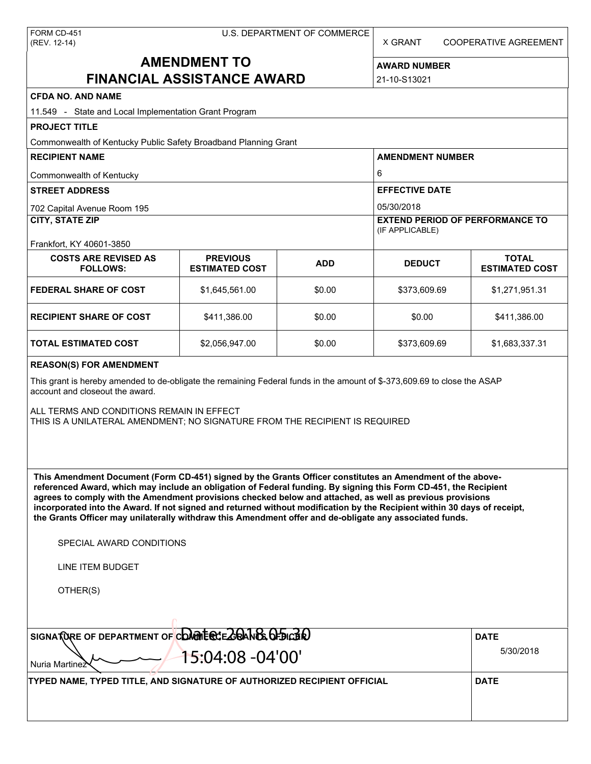X GRANT COOPERATIVE AGREEMENT

# **AMENDMENT TO FINANCIAL ASSISTANCE AWARD**

**AWARD NUMBER** 21-10-S13021

# **CFDA NO. AND NAME**

| CFDA NO. AND NAME                                                                                                                                                                                                                                                                                                                                                                                                                                                                                                                                                                                                                        |                                          |            |                         |                                                           |  |  |  |
|------------------------------------------------------------------------------------------------------------------------------------------------------------------------------------------------------------------------------------------------------------------------------------------------------------------------------------------------------------------------------------------------------------------------------------------------------------------------------------------------------------------------------------------------------------------------------------------------------------------------------------------|------------------------------------------|------------|-------------------------|-----------------------------------------------------------|--|--|--|
| 11.549 - State and Local Implementation Grant Program                                                                                                                                                                                                                                                                                                                                                                                                                                                                                                                                                                                    |                                          |            |                         |                                                           |  |  |  |
| <b>PROJECT TITLE</b>                                                                                                                                                                                                                                                                                                                                                                                                                                                                                                                                                                                                                     |                                          |            |                         |                                                           |  |  |  |
| Commonwealth of Kentucky Public Safety Broadband Planning Grant                                                                                                                                                                                                                                                                                                                                                                                                                                                                                                                                                                          |                                          |            |                         |                                                           |  |  |  |
| <b>RECIPIENT NAME</b>                                                                                                                                                                                                                                                                                                                                                                                                                                                                                                                                                                                                                    |                                          |            | <b>AMENDMENT NUMBER</b> |                                                           |  |  |  |
| Commonwealth of Kentucky                                                                                                                                                                                                                                                                                                                                                                                                                                                                                                                                                                                                                 |                                          |            | 6                       |                                                           |  |  |  |
| <b>STREET ADDRESS</b>                                                                                                                                                                                                                                                                                                                                                                                                                                                                                                                                                                                                                    |                                          |            | <b>EFFECTIVE DATE</b>   |                                                           |  |  |  |
| 702 Capital Avenue Room 195                                                                                                                                                                                                                                                                                                                                                                                                                                                                                                                                                                                                              |                                          |            | 05/30/2018              |                                                           |  |  |  |
|                                                                                                                                                                                                                                                                                                                                                                                                                                                                                                                                                                                                                                          | <b>CITY, STATE ZIP</b>                   |            |                         | <b>EXTEND PERIOD OF PERFORMANCE TO</b><br>(IF APPLICABLE) |  |  |  |
| Frankfort, KY 40601-3850                                                                                                                                                                                                                                                                                                                                                                                                                                                                                                                                                                                                                 |                                          |            |                         |                                                           |  |  |  |
| <b>COSTS ARE REVISED AS</b><br><b>FOLLOWS:</b>                                                                                                                                                                                                                                                                                                                                                                                                                                                                                                                                                                                           | <b>PREVIOUS</b><br><b>ESTIMATED COST</b> | <b>ADD</b> | <b>DEDUCT</b>           | <b>TOTAL</b><br><b>ESTIMATED COST</b>                     |  |  |  |
| <b>FEDERAL SHARE OF COST</b>                                                                                                                                                                                                                                                                                                                                                                                                                                                                                                                                                                                                             | \$1,645,561.00                           | \$0.00     | \$373,609.69            | \$1,271,951.31                                            |  |  |  |
| <b>RECIPIENT SHARE OF COST</b>                                                                                                                                                                                                                                                                                                                                                                                                                                                                                                                                                                                                           | \$411,386.00                             | \$0.00     | \$0.00                  | \$411,386.00                                              |  |  |  |
| <b>TOTAL ESTIMATED COST</b>                                                                                                                                                                                                                                                                                                                                                                                                                                                                                                                                                                                                              | \$2,056,947.00                           | \$0.00     | \$373,609.69            | \$1,683,337.31                                            |  |  |  |
| <b>REASON(S) FOR AMENDMENT</b>                                                                                                                                                                                                                                                                                                                                                                                                                                                                                                                                                                                                           |                                          |            |                         |                                                           |  |  |  |
| This grant is hereby amended to de-obligate the remaining Federal funds in the amount of \$-373,609.69 to close the ASAP<br>account and closeout the award.                                                                                                                                                                                                                                                                                                                                                                                                                                                                              |                                          |            |                         |                                                           |  |  |  |
| ALL TERMS AND CONDITIONS REMAIN IN EFFECT<br>THIS IS A UNILATERAL AMENDMENT; NO SIGNATURE FROM THE RECIPIENT IS REQUIRED                                                                                                                                                                                                                                                                                                                                                                                                                                                                                                                 |                                          |            |                         |                                                           |  |  |  |
| This Amendment Document (Form CD-451) signed by the Grants Officer constitutes an Amendment of the above-<br>referenced Award, which may include an obligation of Federal funding. By signing this Form CD-451, the Recipient<br>agrees to comply with the Amendment provisions checked below and attached, as well as previous provisions<br>incorporated into the Award. If not signed and returned without modification by the Recipient within 30 days of receipt,<br>the Grants Officer may unilaterally withdraw this Amendment offer and de-obligate any associated funds.<br>SPECIAL AWARD CONDITIONS<br><b>LINE ITEM BUDGET</b> |                                          |            |                         |                                                           |  |  |  |
| OTHER(S)                                                                                                                                                                                                                                                                                                                                                                                                                                                                                                                                                                                                                                 |                                          |            |                         |                                                           |  |  |  |
| SIGNATURE OF DEPARTMENT OF CONDITECTE ZOANE OF DICER                                                                                                                                                                                                                                                                                                                                                                                                                                                                                                                                                                                     |                                          |            |                         | <b>DATE</b>                                               |  |  |  |
|                                                                                                                                                                                                                                                                                                                                                                                                                                                                                                                                                                                                                                          |                                          |            | 5/30/2018               |                                                           |  |  |  |
| Nuria Martinez                                                                                                                                                                                                                                                                                                                                                                                                                                                                                                                                                                                                                           | 15:04:08 -04'00'                         |            |                         |                                                           |  |  |  |
| TYPED NAME, TYPED TITLE, AND SIGNATURE OF AUTHORIZED RECIPIENT OFFICIAL                                                                                                                                                                                                                                                                                                                                                                                                                                                                                                                                                                  |                                          |            |                         | <b>DATE</b>                                               |  |  |  |